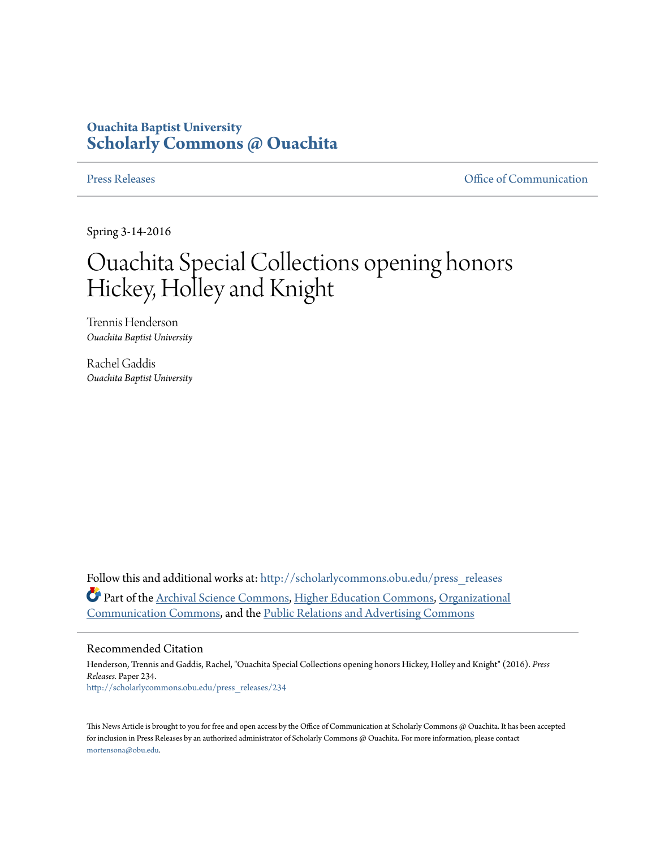## **Ouachita Baptist University [Scholarly Commons @ Ouachita](http://scholarlycommons.obu.edu?utm_source=scholarlycommons.obu.edu%2Fpress_releases%2F234&utm_medium=PDF&utm_campaign=PDFCoverPages)**

[Press Releases](http://scholarlycommons.obu.edu/press_releases?utm_source=scholarlycommons.obu.edu%2Fpress_releases%2F234&utm_medium=PDF&utm_campaign=PDFCoverPages) **Communication** 

Spring 3-14-2016

## Ouachita Special Collections opening honors Hickey, Holley and Knight

Trennis Henderson *Ouachita Baptist University*

Rachel Gaddis *Ouachita Baptist University*

Follow this and additional works at: [http://scholarlycommons.obu.edu/press\\_releases](http://scholarlycommons.obu.edu/press_releases?utm_source=scholarlycommons.obu.edu%2Fpress_releases%2F234&utm_medium=PDF&utm_campaign=PDFCoverPages) Part of the [Archival Science Commons,](http://network.bepress.com/hgg/discipline/1021?utm_source=scholarlycommons.obu.edu%2Fpress_releases%2F234&utm_medium=PDF&utm_campaign=PDFCoverPages) [Higher Education Commons](http://network.bepress.com/hgg/discipline/1245?utm_source=scholarlycommons.obu.edu%2Fpress_releases%2F234&utm_medium=PDF&utm_campaign=PDFCoverPages), [Organizational](http://network.bepress.com/hgg/discipline/335?utm_source=scholarlycommons.obu.edu%2Fpress_releases%2F234&utm_medium=PDF&utm_campaign=PDFCoverPages) [Communication Commons,](http://network.bepress.com/hgg/discipline/335?utm_source=scholarlycommons.obu.edu%2Fpress_releases%2F234&utm_medium=PDF&utm_campaign=PDFCoverPages) and the [Public Relations and Advertising Commons](http://network.bepress.com/hgg/discipline/336?utm_source=scholarlycommons.obu.edu%2Fpress_releases%2F234&utm_medium=PDF&utm_campaign=PDFCoverPages)

## Recommended Citation

Henderson, Trennis and Gaddis, Rachel, "Ouachita Special Collections opening honors Hickey, Holley and Knight" (2016). *Press Releases.* Paper 234. [http://scholarlycommons.obu.edu/press\\_releases/234](http://scholarlycommons.obu.edu/press_releases/234?utm_source=scholarlycommons.obu.edu%2Fpress_releases%2F234&utm_medium=PDF&utm_campaign=PDFCoverPages)

This News Article is brought to you for free and open access by the Office of Communication at Scholarly Commons @ Ouachita. It has been accepted for inclusion in Press Releases by an authorized administrator of Scholarly Commons @ Ouachita. For more information, please contact [mortensona@obu.edu](mailto:mortensona@obu.edu).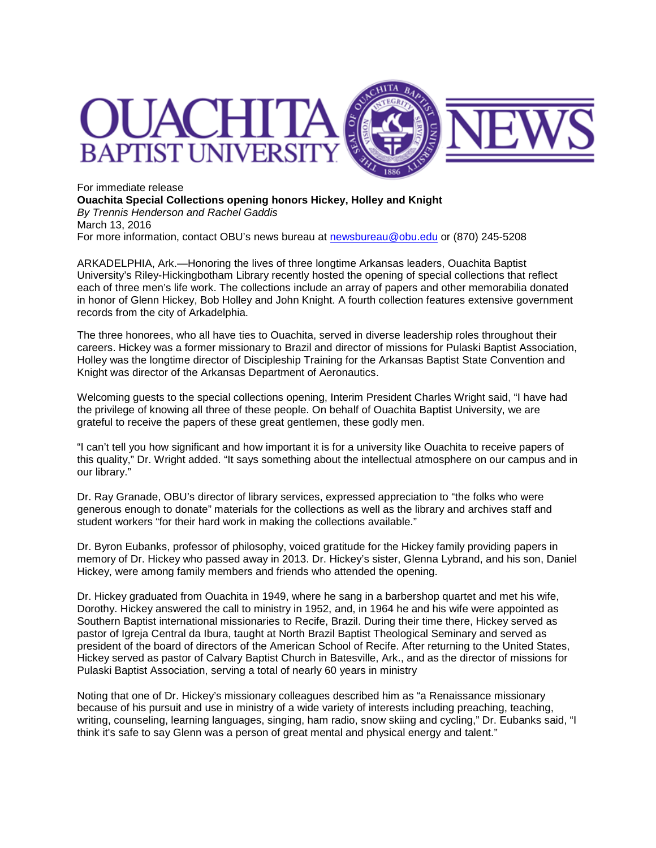

For immediate release **Ouachita Special Collections opening honors Hickey, Holley and Knight** *By Trennis Henderson and Rachel Gaddis* March 13, 2016 For more information, contact OBU's news bureau at [newsbureau@obu.edu](mailto:newsbureau@obu.edu) or (870) 245-5208

ARKADELPHIA, Ark.—Honoring the lives of three longtime Arkansas leaders, Ouachita Baptist University's Riley-Hickingbotham Library recently hosted the opening of special collections that reflect each of three men's life work. The collections include an array of papers and other memorabilia donated in honor of Glenn Hickey, Bob Holley and John Knight. A fourth collection features extensive government records from the city of Arkadelphia.

The three honorees, who all have ties to Ouachita, served in diverse leadership roles throughout their careers. Hickey was a former missionary to Brazil and director of missions for Pulaski Baptist Association, Holley was the longtime director of Discipleship Training for the Arkansas Baptist State Convention and Knight was director of the Arkansas Department of Aeronautics.

Welcoming guests to the special collections opening, Interim President Charles Wright said, "I have had the privilege of knowing all three of these people. On behalf of Ouachita Baptist University, we are grateful to receive the papers of these great gentlemen, these godly men.

"I can't tell you how significant and how important it is for a university like Ouachita to receive papers of this quality," Dr. Wright added. "It says something about the intellectual atmosphere on our campus and in our library."

Dr. Ray Granade, OBU's director of library services, expressed appreciation to "the folks who were generous enough to donate" materials for the collections as well as the library and archives staff and student workers "for their hard work in making the collections available."

Dr. Byron Eubanks, professor of philosophy, voiced gratitude for the Hickey family providing papers in memory of Dr. Hickey who passed away in 2013. Dr. Hickey's sister, Glenna Lybrand, and his son, Daniel Hickey, were among family members and friends who attended the opening.

Dr. Hickey graduated from Ouachita in 1949, where he sang in a barbershop quartet and met his wife, Dorothy. Hickey answered the call to ministry in 1952, and, in 1964 he and his wife were appointed as Southern Baptist international missionaries to Recife, Brazil. During their time there, Hickey served as pastor of Igreja Central da Ibura, taught at North Brazil Baptist Theological Seminary and served as president of the board of directors of the American School of Recife. After returning to the United States, Hickey served as pastor of Calvary Baptist Church in Batesville, Ark., and as the director of missions for Pulaski Baptist Association, serving a total of nearly 60 years in ministry

Noting that one of Dr. Hickey's missionary colleagues described him as "a Renaissance missionary because of his pursuit and use in ministry of a wide variety of interests including preaching, teaching, writing, counseling, learning languages, singing, ham radio, snow skiing and cycling," Dr. Eubanks said, "I think it's safe to say Glenn was a person of great mental and physical energy and talent."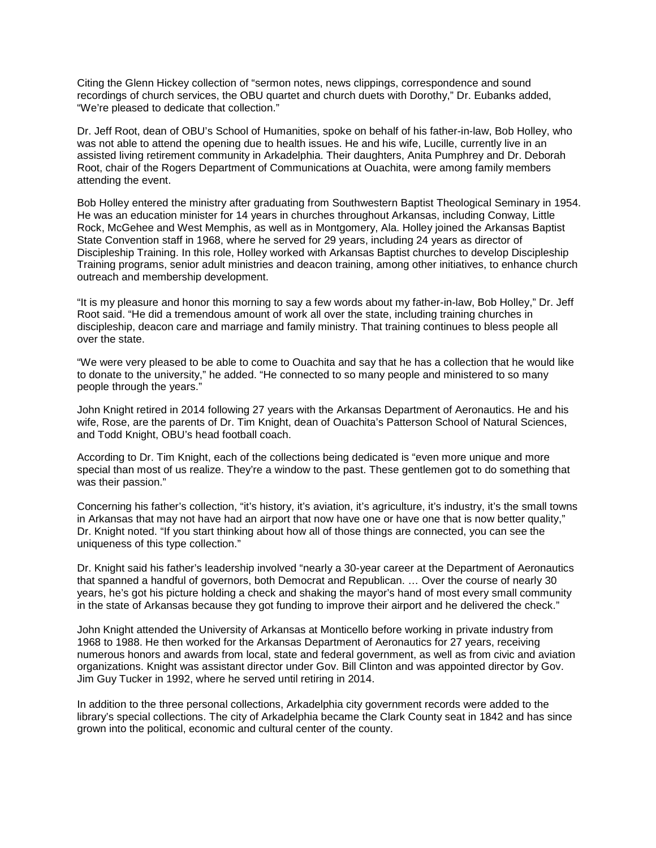Citing the Glenn Hickey collection of "sermon notes, news clippings, correspondence and sound recordings of church services, the OBU quartet and church duets with Dorothy," Dr. Eubanks added, "We're pleased to dedicate that collection."

Dr. Jeff Root, dean of OBU's School of Humanities, spoke on behalf of his father-in-law, Bob Holley, who was not able to attend the opening due to health issues. He and his wife, Lucille, currently live in an assisted living retirement community in Arkadelphia. Their daughters, Anita Pumphrey and Dr. Deborah Root, chair of the Rogers Department of Communications at Ouachita, were among family members attending the event.

Bob Holley entered the ministry after graduating from Southwestern Baptist Theological Seminary in 1954. He was an education minister for 14 years in churches throughout Arkansas, including Conway, Little Rock, McGehee and West Memphis, as well as in Montgomery, Ala. Holley joined the Arkansas Baptist State Convention staff in 1968, where he served for 29 years, including 24 years as director of Discipleship Training. In this role, Holley worked with Arkansas Baptist churches to develop Discipleship Training programs, senior adult ministries and deacon training, among other initiatives, to enhance church outreach and membership development.

"It is my pleasure and honor this morning to say a few words about my father-in-law, Bob Holley," Dr. Jeff Root said. "He did a tremendous amount of work all over the state, including training churches in discipleship, deacon care and marriage and family ministry. That training continues to bless people all over the state.

"We were very pleased to be able to come to Ouachita and say that he has a collection that he would like to donate to the university," he added. "He connected to so many people and ministered to so many people through the years."

John Knight retired in 2014 following 27 years with the Arkansas Department of Aeronautics. He and his wife, Rose, are the parents of Dr. Tim Knight, dean of Ouachita's Patterson School of Natural Sciences, and Todd Knight, OBU's head football coach.

According to Dr. Tim Knight, each of the collections being dedicated is "even more unique and more special than most of us realize. They're a window to the past. These gentlemen got to do something that was their passion."

Concerning his father's collection, "it's history, it's aviation, it's agriculture, it's industry, it's the small towns in Arkansas that may not have had an airport that now have one or have one that is now better quality," Dr. Knight noted. "If you start thinking about how all of those things are connected, you can see the uniqueness of this type collection."

Dr. Knight said his father's leadership involved "nearly a 30-year career at the Department of Aeronautics that spanned a handful of governors, both Democrat and Republican. … Over the course of nearly 30 years, he's got his picture holding a check and shaking the mayor's hand of most every small community in the state of Arkansas because they got funding to improve their airport and he delivered the check."

John Knight attended the University of Arkansas at Monticello before working in private industry from 1968 to 1988. He then worked for the Arkansas Department of Aeronautics for 27 years, receiving numerous honors and awards from local, state and federal government, as well as from civic and aviation organizations. Knight was assistant director under Gov. Bill Clinton and was appointed director by Gov. Jim Guy Tucker in 1992, where he served until retiring in 2014.

In addition to the three personal collections, Arkadelphia city government records were added to the library's special collections. The city of Arkadelphia became the Clark County seat in 1842 and has since grown into the political, economic and cultural center of the county.